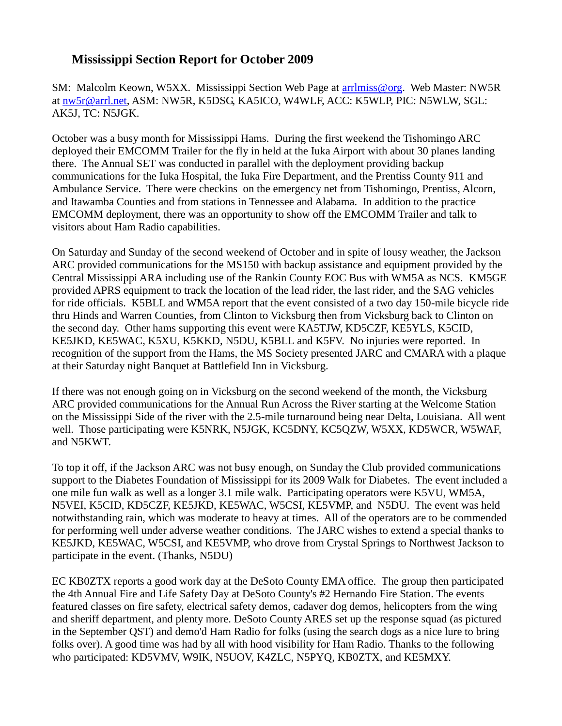## **Mississippi Section Report for October 2009**

SM: Malcolm Keown, W5XX. Mississippi Section Web Page at [arrlmiss@org.](mailto:arrlmiss@org) Web Master: NW5R at [nw5r@arrl.net,](mailto:nw5r@arrl.net) ASM: NW5R, K5DSG, KA5ICO, W4WLF, ACC: K5WLP, PIC: N5WLW, SGL: AK5J, TC: N5JGK.

October was a busy month for Mississippi Hams. During the first weekend the Tishomingo ARC deployed their EMCOMM Trailer for the fly in held at the Iuka Airport with about 30 planes landing there. The Annual SET was conducted in parallel with the deployment providing backup communications for the Iuka Hospital, the Iuka Fire Department, and the Prentiss County 911 and Ambulance Service. There were checkins on the emergency net from Tishomingo, Prentiss, Alcorn, and Itawamba Counties and from stations in Tennessee and Alabama. In addition to the practice EMCOMM deployment, there was an opportunity to show off the EMCOMM Trailer and talk to visitors about Ham Radio capabilities.

On Saturday and Sunday of the second weekend of October and in spite of lousy weather, the Jackson ARC provided communications for the MS150 with backup assistance and equipment provided by the Central Mississippi ARA including use of the Rankin County EOC Bus with WM5A as NCS. KM5GE provided APRS equipment to track the location of the lead rider, the last rider, and the SAG vehicles for ride officials. K5BLL and WM5A report that the event consisted of a two day 150-mile bicycle ride thru Hinds and Warren Counties, from Clinton to Vicksburg then from Vicksburg back to Clinton on the second day. Other hams supporting this event were KA5TJW, KD5CZF, KE5YLS, K5CID, KE5JKD, KE5WAC, K5XU, K5KKD, N5DU, K5BLL and K5FV. No injuries were reported. In recognition of the support from the Hams, the MS Society presented JARC and CMARA with a plaque at their Saturday night Banquet at Battlefield Inn in Vicksburg.

If there was not enough going on in Vicksburg on the second weekend of the month, the Vicksburg ARC provided communications for the Annual Run Across the River starting at the Welcome Station on the Mississippi Side of the river with the 2.5-mile turnaround being near Delta, Louisiana. All went well. Those participating were K5NRK, N5JGK, KC5DNY, KC5QZW, W5XX, KD5WCR, W5WAF, and N5KWT.

To top it off, if the Jackson ARC was not busy enough, on Sunday the Club provided communications support to the Diabetes Foundation of Mississippi for its 2009 Walk for Diabetes. The event included a one mile fun walk as well as a longer 3.1 mile walk. Participating operators were K5VU, WM5A, N5VEI, K5CID, KD5CZF, KE5JKD, KE5WAC, W5CSI, KE5VMP, and N5DU. The event was held notwithstanding rain, which was moderate to heavy at times. All of the operators are to be commended for performing well under adverse weather conditions. The JARC wishes to extend a special thanks to KE5JKD, KE5WAC, W5CSI, and KE5VMP, who drove from Crystal Springs to Northwest Jackson to participate in the event. (Thanks, N5DU)

EC KB0ZTX reports a good work day at the DeSoto County EMA office. The group then participated the 4th Annual Fire and Life Safety Day at DeSoto County's #2 Hernando Fire Station. The events featured classes on fire safety, electrical safety demos, cadaver dog demos, helicopters from the wing and sheriff department, and plenty more. DeSoto County ARES set up the response squad (as pictured in the September QST) and demo'd Ham Radio for folks (using the search dogs as a nice lure to bring folks over). A good time was had by all with hood visibility for Ham Radio. Thanks to the following who participated: KD5VMV, W9IK, N5UOV, K4ZLC, N5PYQ, KB0ZTX, and KE5MXY.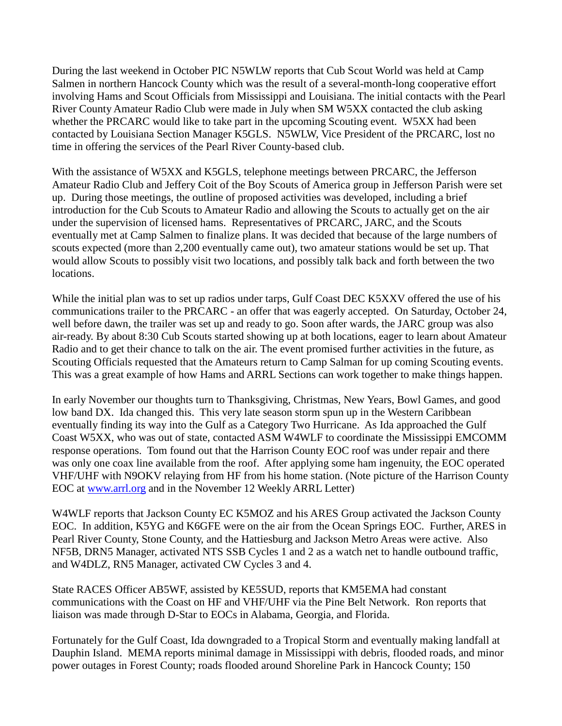During the last weekend in October PIC N5WLW reports that Cub Scout World was held at Camp Salmen in northern Hancock County which was the result of a several-month-long cooperative effort involving Hams and Scout Officials from Mississippi and Louisiana. The initial contacts with the Pearl River County Amateur Radio Club were made in July when SM W5XX contacted the club asking whether the PRCARC would like to take part in the upcoming Scouting event. W5XX had been contacted by Louisiana Section Manager K5GLS. N5WLW, Vice President of the PRCARC, lost no time in offering the services of the Pearl River County-based club.

With the assistance of W5XX and K5GLS, telephone meetings between PRCARC, the Jefferson Amateur Radio Club and Jeffery Coit of the Boy Scouts of America group in Jefferson Parish were set up. During those meetings, the outline of proposed activities was developed, including a brief introduction for the Cub Scouts to Amateur Radio and allowing the Scouts to actually get on the air under the supervision of licensed hams. Representatives of PRCARC, JARC, and the Scouts eventually met at Camp Salmen to finalize plans. It was decided that because of the large numbers of scouts expected (more than 2,200 eventually came out), two amateur stations would be set up. That would allow Scouts to possibly visit two locations, and possibly talk back and forth between the two locations.

While the initial plan was to set up radios under tarps, Gulf Coast DEC K5XXV offered the use of his communications trailer to the PRCARC - an offer that was eagerly accepted. On Saturday, October 24, well before dawn, the trailer was set up and ready to go. Soon after wards, the JARC group was also air-ready. By about 8:30 Cub Scouts started showing up at both locations, eager to learn about Amateur Radio and to get their chance to talk on the air. The event promised further activities in the future, as Scouting Officials requested that the Amateurs return to Camp Salman for up coming Scouting events. This was a great example of how Hams and ARRL Sections can work together to make things happen.

In early November our thoughts turn to Thanksgiving, Christmas, New Years, Bowl Games, and good low band DX. Ida changed this. This very late season storm spun up in the Western Caribbean eventually finding its way into the Gulf as a Category Two Hurricane. As Ida approached the Gulf Coast W5XX, who was out of state, contacted ASM W4WLF to coordinate the Mississippi EMCOMM response operations. Tom found out that the Harrison County EOC roof was under repair and there was only one coax line available from the roof. After applying some ham ingenuity, the EOC operated VHF/UHF with N9OKV relaying from HF from his home station. (Note picture of the Harrison County EOC at [www.arrl.org](http://www.arrl.org/) and in the November 12 Weekly ARRL Letter)

W4WLF reports that Jackson County EC K5MOZ and his ARES Group activated the Jackson County EOC. In addition, K5YG and K6GFE were on the air from the Ocean Springs EOC. Further, ARES in Pearl River County, Stone County, and the Hattiesburg and Jackson Metro Areas were active. Also NF5B, DRN5 Manager, activated NTS SSB Cycles 1 and 2 as a watch net to handle outbound traffic, and W4DLZ, RN5 Manager, activated CW Cycles 3 and 4.

State RACES Officer AB5WF, assisted by KE5SUD, reports that KM5EMA had constant communications with the Coast on HF and VHF/UHF via the Pine Belt Network. Ron reports that liaison was made through D-Star to EOCs in Alabama, Georgia, and Florida.

Fortunately for the Gulf Coast, Ida downgraded to a Tropical Storm and eventually making landfall at Dauphin Island. MEMA reports minimal damage in Mississippi with debris, flooded roads, and minor power outages in Forest County; roads flooded around Shoreline Park in Hancock County; 150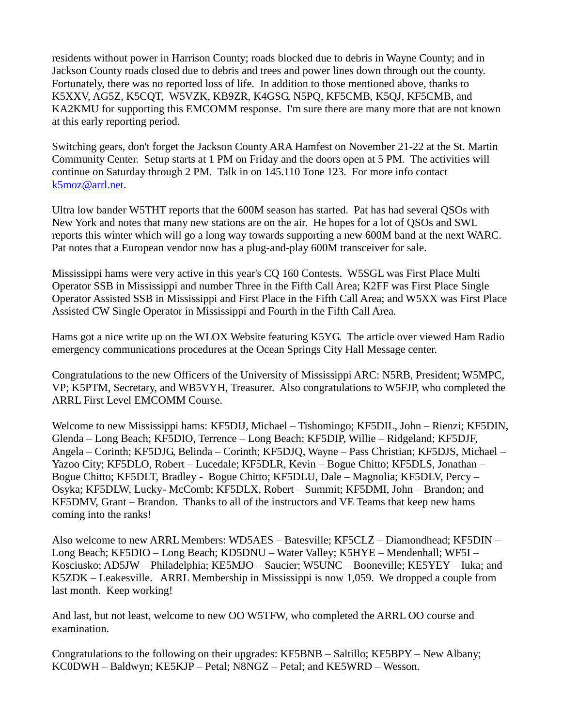residents without power in Harrison County; roads blocked due to debris in Wayne County; and in Jackson County roads closed due to debris and trees and power lines down through out the county. Fortunately, there was no reported loss of life. In addition to those mentioned above, thanks to K5XXV, AG5Z, K5CQT, W5VZK, KB9ZR, K4GSG, N5PQ, KF5CMB, K5QJ, KF5CMB, and KA2KMU for supporting this EMCOMM response. I'm sure there are many more that are not known at this early reporting period.

Switching gears, don't forget the Jackson County ARA Hamfest on November 21-22 at the St. Martin Community Center. Setup starts at 1 PM on Friday and the doors open at 5 PM. The activities will continue on Saturday through 2 PM. Talk in on 145.110 Tone 123. For more info contact [k5moz@arrl.net.](mailto:k5moz@arrl.net)

Ultra low bander W5THT reports that the 600M season has started. Pat has had several QSOs with New York and notes that many new stations are on the air. He hopes for a lot of QSOs and SWL reports this winter which will go a long way towards supporting a new 600M band at the next WARC. Pat notes that a European vendor now has a plug-and-play 600M transceiver for sale.

Mississippi hams were very active in this year's CQ 160 Contests. W5SGL was First Place Multi Operator SSB in Mississippi and number Three in the Fifth Call Area; K2FF was First Place Single Operator Assisted SSB in Mississippi and First Place in the Fifth Call Area; and W5XX was First Place Assisted CW Single Operator in Mississippi and Fourth in the Fifth Call Area.

Hams got a nice write up on the WLOX Website featuring K5YG. The article over viewed Ham Radio emergency communications procedures at the Ocean Springs City Hall Message center.

Congratulations to the new Officers of the University of Mississippi ARC: N5RB, President; W5MPC, VP; K5PTM, Secretary, and WB5VYH, Treasurer. Also congratulations to W5FJP, who completed the ARRL First Level EMCOMM Course.

Welcome to new Mississippi hams: KF5DIJ, Michael – Tishomingo; KF5DIL, John – Rienzi; KF5DIN, Glenda – Long Beach; KF5DIO, Terrence – Long Beach; KF5DIP, Willie – Ridgeland; KF5DJF, Angela – Corinth; KF5DJG, Belinda – Corinth; KF5DJQ, Wayne – Pass Christian; KF5DJS, Michael – Yazoo City; KF5DLO, Robert – Lucedale; KF5DLR, Kevin – Bogue Chitto; KF5DLS, Jonathan – Bogue Chitto; KF5DLT, Bradley - Bogue Chitto; KF5DLU, Dale – Magnolia; KF5DLV, Percy – Osyka; KF5DLW, Lucky- McComb; KF5DLX, Robert – Summit; KF5DMI, John – Brandon; and KF5DMV, Grant – Brandon. Thanks to all of the instructors and VE Teams that keep new hams coming into the ranks!

Also welcome to new ARRL Members: WD5AES – Batesville; KF5CLZ – Diamondhead; KF5DIN – Long Beach; KF5DIO – Long Beach; KD5DNU – Water Valley; K5HYE – Mendenhall; WF5I – Kosciusko; AD5JW – Philadelphia; KE5MJO – Saucier; W5UNC – Booneville; KE5YEY – Iuka; and K5ZDK – Leakesville. ARRL Membership in Mississippi is now 1,059. We dropped a couple from last month. Keep working!

And last, but not least, welcome to new OO W5TFW, who completed the ARRL OO course and examination.

Congratulations to the following on their upgrades: KF5BNB – Saltillo; KF5BPY – New Albany; KC0DWH – Baldwyn; KE5KJP – Petal; N8NGZ – Petal; and KE5WRD – Wesson.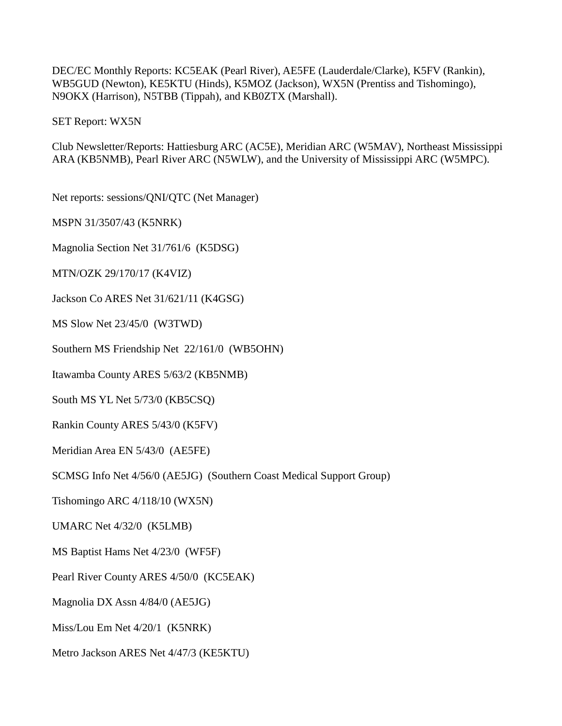DEC/EC Monthly Reports: KC5EAK (Pearl River), AE5FE (Lauderdale/Clarke), K5FV (Rankin), WB5GUD (Newton), KE5KTU (Hinds), K5MOZ (Jackson), WX5N (Prentiss and Tishomingo), N9OKX (Harrison), N5TBB (Tippah), and KB0ZTX (Marshall).

SET Report: WX5N

Club Newsletter/Reports: Hattiesburg ARC (AC5E), Meridian ARC (W5MAV), Northeast Mississippi ARA (KB5NMB), Pearl River ARC (N5WLW), and the University of Mississippi ARC (W5MPC).

Net reports: sessions/QNI/QTC (Net Manager)

MSPN 31/3507/43 (K5NRK)

Magnolia Section Net 31/761/6 (K5DSG)

MTN/OZK 29/170/17 (K4VIZ)

Jackson Co ARES Net 31/621/11 (K4GSG)

MS Slow Net 23/45/0 (W3TWD)

Southern MS Friendship Net 22/161/0 (WB5OHN)

Itawamba County ARES 5/63/2 (KB5NMB)

South MS YL Net 5/73/0 (KB5CSQ)

Rankin County ARES 5/43/0 (K5FV)

Meridian Area EN 5/43/0 (AE5FE)

SCMSG Info Net 4/56/0 (AE5JG) (Southern Coast Medical Support Group)

Tishomingo ARC 4/118/10 (WX5N)

UMARC Net 4/32/0 (K5LMB)

MS Baptist Hams Net 4/23/0 (WF5F)

Pearl River County ARES 4/50/0 (KC5EAK)

Magnolia DX Assn 4/84/0 (AE5JG)

Miss/Lou Em Net 4/20/1 (K5NRK)

Metro Jackson ARES Net 4/47/3 (KE5KTU)